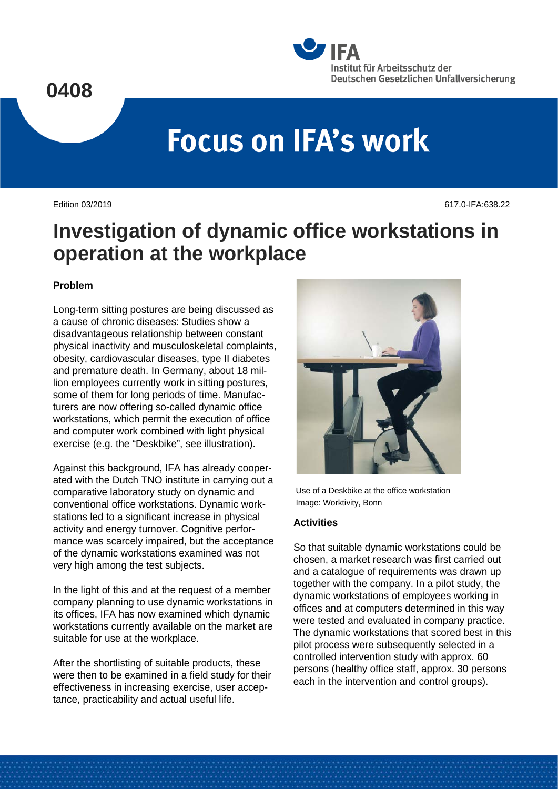

# **Focus on IFA's work**

Edition 03/2019 617.0-IFA:638.22

## **Investigation of dynamic office workstations in operation at the workplace**

#### **Problem**

Long-term sitting postures are being discussed as a cause of chronic diseases: Studies show a disadvantageous relationship between constant physical inactivity and musculoskeletal complaints, obesity, cardiovascular diseases, type II diabetes and premature death. In Germany, about 18 million employees currently work in sitting postures, some of them for long periods of time. Manufacturers are now offering so-called dynamic office workstations, which permit the execution of office and computer work combined with light physical exercise (e.g. the "Deskbike", see illustration).

Against this background, IFA has already cooperated with the Dutch TNO institute in carrying out a comparative laboratory study on dynamic and conventional office workstations. Dynamic workstations led to a significant increase in physical activity and energy turnover. Cognitive performance was scarcely impaired, but the acceptance of the dynamic workstations examined was not very high among the test subjects.

In the light of this and at the request of a member company planning to use dynamic workstations in its offices, IFA has now examined which dynamic workstations currently available on the market are suitable for use at the workplace.

After the shortlisting of suitable products, these were then to be examined in a field study for their effectiveness in increasing exercise, user acceptance, practicability and actual useful life.



Use of a Deskbike at the office workstation Image: Worktivity, Bonn

### **Activities**

So that suitable dynamic workstations could be chosen, a market research was first carried out and a catalogue of requirements was drawn up together with the company. In a pilot study, the dynamic workstations of employees working in offices and at computers determined in this way were tested and evaluated in company practice. The dynamic workstations that scored best in this pilot process were subsequently selected in a controlled intervention study with approx. 60 persons (healthy office staff, approx. 30 persons each in the intervention and control groups).